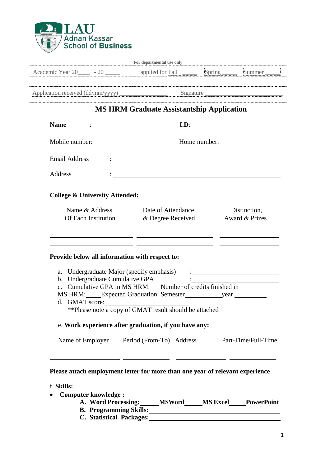

|                      |                                           | Eor departmental use only                                                                                                                                                                                                                                                                                                                                                                               |                                                                                                                                                                                                                                   |
|----------------------|-------------------------------------------|---------------------------------------------------------------------------------------------------------------------------------------------------------------------------------------------------------------------------------------------------------------------------------------------------------------------------------------------------------------------------------------------------------|-----------------------------------------------------------------------------------------------------------------------------------------------------------------------------------------------------------------------------------|
|                      |                                           |                                                                                                                                                                                                                                                                                                                                                                                                         |                                                                                                                                                                                                                                   |
|                      |                                           | Application received (dd/mm/yyyy) Signature Signature                                                                                                                                                                                                                                                                                                                                                   |                                                                                                                                                                                                                                   |
|                      |                                           | <b>MS HRM Graduate Assistantship Application</b>                                                                                                                                                                                                                                                                                                                                                        |                                                                                                                                                                                                                                   |
| <b>Name</b>          |                                           | $\qquad \qquad \text{I.D:}$                                                                                                                                                                                                                                                                                                                                                                             |                                                                                                                                                                                                                                   |
|                      |                                           |                                                                                                                                                                                                                                                                                                                                                                                                         |                                                                                                                                                                                                                                   |
| <b>Email Address</b> |                                           | <u>: In the contract of the contract of the contract of the contract of the contract of the contract of the contract of the contract of the contract of the contract of the contract of the contract of the contract of the cont</u>                                                                                                                                                                    |                                                                                                                                                                                                                                   |
| Address              |                                           |                                                                                                                                                                                                                                                                                                                                                                                                         |                                                                                                                                                                                                                                   |
|                      | <b>College &amp; University Attended:</b> |                                                                                                                                                                                                                                                                                                                                                                                                         |                                                                                                                                                                                                                                   |
|                      | Name & Address<br>Of Each Institution     | Date of Attendance<br>& Degree Received<br><u> 1999 - Johann Harry Harry Barn, mars and deutscher Amerikaanse kommunister († 1908)</u>                                                                                                                                                                                                                                                                  | Distinction,<br>Award & Prizes                                                                                                                                                                                                    |
|                      | b. Undergraduate Cumulative GPA           | <u> 1989 - John Harry John Harry Harry Harry Harry Harry Harry Harry Harry Harry Harry Harry Harry Harry Harry Har</u><br>Provide below all information with respect to:<br>a. Undergraduate Major (specify emphasis)<br>c. Cumulative GPA in MS HRM: Number of credits finished in<br>** Please note a copy of GMAT result should be attached<br>e. Work experience after graduation, if you have any: | $\frac{1}{2}$ . The contract of the contract of the contract of the contract of the contract of the contract of the contract of the contract of the contract of the contract of the contract of the contract of the contract of t |
|                      |                                           |                                                                                                                                                                                                                                                                                                                                                                                                         |                                                                                                                                                                                                                                   |

## **Please attach employment letter for more than one year of relevant experience**

- f. **Skills:**
- **Computer knowledge :**
	- **A. Word Processing: MSWord MS Excel PowerPoint**
	- **B.** Programming Skills: **CONSIDER AND THE SKILLS:**
	- **C. Statistical Packages:**